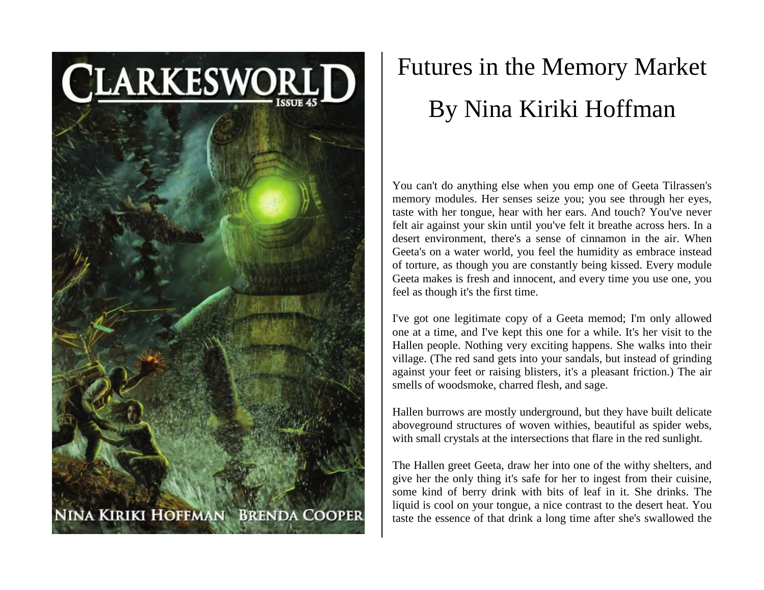

## Futures in the Memory Market By Nina Kiriki Hoffman

You can't do anything else when you emp one of Geeta Tilrassen's memory modules. Her senses seize you; you see through her eyes, taste with her tongue, hear with her ears. And touch? You've never felt air against your skin until you've felt it breathe across hers. In a desert environment, there's a sense of cinnamon in the air. When Geeta's on a water world, you feel the humidity as embrace instead of torture, as though you are constantly being kissed. Every module Geeta makes is fresh and innocent, and every time you use one, you feel as though it's the first time.

I've got one legitimate copy of a Geeta memod; I'm only allowed one at a time, and I've kept this one for a while. It's her visit to the Hallen people. Nothing very exciting happens. She walks into their village. (The red sand gets into your sandals, but instead of grinding against your feet or raising blisters, it's a pleasant friction.) The air smells of woodsmoke, charred flesh, and sage.

Hallen burrows are mostly underground, but they have built delicate aboveground structures of woven withies, beautiful as spider webs, with small crystals at the intersections that flare in the red sunlight.

The Hallen greet Geeta, draw her into one of the withy shelters, and give her the only thing it's safe for her to ingest from their cuisine, some kind of berry drink with bits of leaf in it. She drinks. The liquid is cool on your tongue, a nice contrast to the desert heat. You taste the essence of that drink a long time after she's swallowed the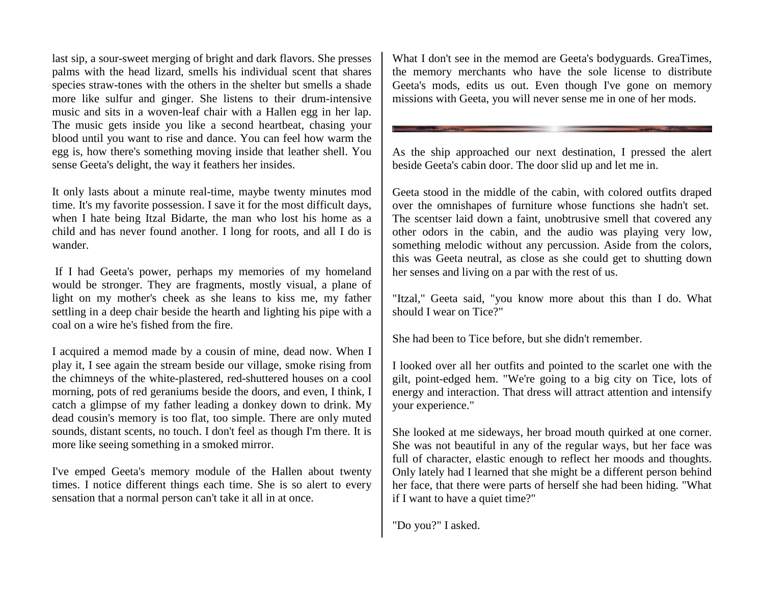last sip, a sour-sweet merging of bright and dark flavors. She presses palms with the head lizard, smells his individual scent that shares species straw-tones with the others in the shelter but smells a shade more like sulfur and ginger. She listens to their drum-intensive music and sits in a woven-leaf chair with a Hallen egg in her lap. The music gets inside you like a second heartbeat, chasing your blood until you want to rise and dance. You can feel how warm the egg is, how there's something moving inside that leather shell. You sense Geeta's delight, the way it feathers her insides.

It only lasts about a minute real-time, maybe twenty minutes mod time. It's my favorite possession. I save it for the most difficult days, when I hate being Itzal Bidarte, the man who lost his home as a child and has never found another. I long for roots, and all I do is wander.

If I had Geeta's power, perhaps my memories of my homeland would be stronger. They are fragments, mostly visual, a plane of light on my mother's cheek as she leans to kiss me, my father settling in a deep chair beside the hearth and lighting his pipe with a coal on a wire he's fished from the fire.

I acquired a memod made by a cousin of mine, dead now. When I play it, I see again the stream beside our village, smoke rising from the chimneys of the white-plastered, red-shuttered houses on a cool morning, pots of red geraniums beside the doors, and even, I think, I catch a glimpse of my father leading a donkey down to drink. My dead cousin's memory is too flat, too simple. There are only muted sounds, distant scents, no touch. I don't feel as though I'm there. It is more like seeing something in a smoked mirror.

I've emped Geeta's memory module of the Hallen about twenty times. I notice different things each time. She is so alert to every sensation that a normal person can't take it all in at once.

What I don't see in the memod are Geeta's bodyguards. GreaTimes, the memory merchants who have the sole license to distribute Geeta's mods, edits us out. Even though I've gone on memory missions with Geeta, you will never sense me in one of her mods.

As the ship approached our next destination, I pressed the alert beside Geeta's cabin door. The door slid up and let me in.

Geeta stood in the middle of the cabin, with colored outfits draped over the omnishapes of furniture whose functions she hadn't set. The scentser laid down a faint, unobtrusive smell that covered any other odors in the cabin, and the audio was playing very low, something melodic without any percussion. Aside from the colors, this was Geeta neutral, as close as she could get to shutting down her senses and living on a par with the rest of us.

"Itzal," Geeta said, "you know more about this than I do. What should I wear on Tice?"

She had been to Tice before, but she didn't remember.

I looked over all her outfits and pointed to the scarlet one with the gilt, point-edged hem. "We're going to a big city on Tice, lots of energy and interaction. That dress will attract attention and intensify your experience."

She looked at me sideways, her broad mouth quirked at one corner. She was not beautiful in any of the regular ways, but her face was full of character, elastic enough to reflect her moods and thoughts. Only lately had I learned that she might be a different person behind her face, that there were parts of herself she had been hiding. "What if I want to have a quiet time?"

"Do you?" I asked.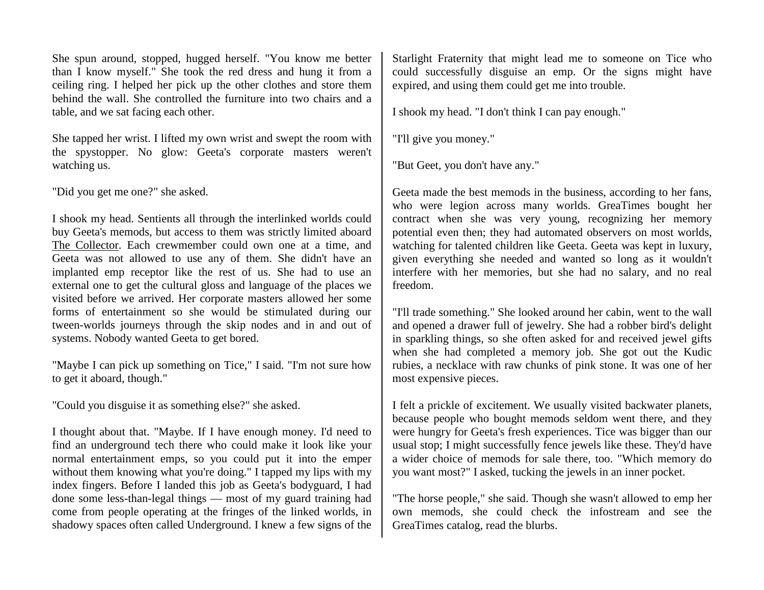She spun around, stopped, hugged herself. "You know me better than I know myself." She took the red dress and hung it from a ceiling ring. I helped her pick up the other clothes and store them behind the wall. She controlled the furniture into two chairs and a table, and we sat facing each other.

She tapped her wrist. I lifted my own wrist and swept the room with the spystopper. No glow: Geeta's corporate masters weren't watching us.

"Did you get me one?" she asked.

I shook my head. Sentients all through the interlinked worlds could buy Geeta's memods, but access to them was strictly limited aboard The Collector. Each crewmember could own one at a time, and Geeta was not allowed to use any of them. She didn't have an implanted emp receptor like the rest of us. She had to use an external one to get the cultural gloss and language of the places we visited before we arrived. Her corporate masters allowed her some forms of entertainment so she would be stimulated during our tween-worlds journeys through the skip nodes and in and out of systems. Nobody wanted Geeta to get bored.

"Maybe I can pick up something on Tice," I said. "I'm not sure how to get it aboard, though."

"Could you disguise it as something else?" she asked.

I thought about that. "Maybe. If I have enough money. I'd need to find an underground tech there who could make it look like your normal entertainment emps, so you could put it into the emper without them knowing what you're doing." I tapped my lips with my index fingers. Before I landed this job as Geeta's bodyguard, I had done some less-than-legal things — most of my guard training had come from people operating at the fringes of the linked worlds, in shadowy spaces often called Underground. I knew a few signs of the

Starlight Fraternity that might lead me to someone on Tice who could successfully disguise an emp. Or the signs might have expired, and using them could get me into trouble.

I shook my head. "I don't think I can pay enough."

"I'll give you money."

"But Geet, you don't have any."

Geeta made the best memods in the business, according to her fans, who were legion across many worlds. GreaTimes bought her contract when she was very young, recognizing her memory potential even then; they had automated observers on most worlds, watching for talented children like Geeta. Geeta was kept in luxury, given everything she needed and wanted so long as it wouldn't interfere with her memories, but she had no salary, and no real freedom.

"I'll trade something." She looked around her cabin, went to the wall and opened a drawer full of jewelry. She had a robber bird's delight in sparkling things, so she often asked for and received jewel gifts when she had completed a memory job. She got out the Kudic rubies, a necklace with raw chunks of pink stone. It was one of her most expensive pieces.

I felt a prickle of excitement. We usually visited backwater planets, because people who bought memods seldom went there, and they were hungry for Geeta's fresh experiences. Tice was bigger than our usual stop; I might successfully fence jewels like these. They'd have a wider choice of memods for sale there, too. "Which memory do you want most?" I asked, tucking the jewels in an inner pocket.

"The horse people," she said. Though she wasn't allowed to emp her own memods, she could check the infostream and see the GreaTimes catalog, read the blurbs.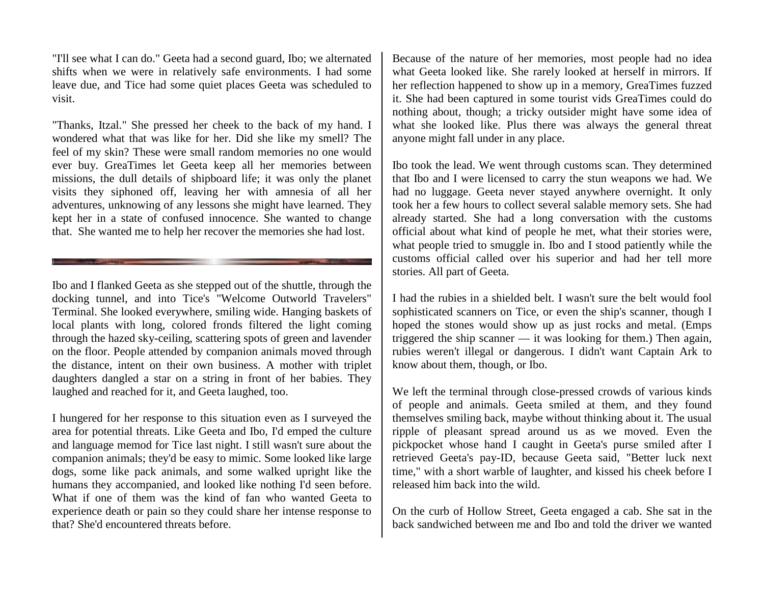"I'll see what I can do." Geeta had a second guard, Ibo; we alternated shifts when we were in relatively safe environments. I had some leave due, and Tice had some quiet places Geeta was scheduled to visit.

"Thanks, Itzal." She pressed her cheek to the back of my hand. I wondered what that was like for her. Did she like my smell? The feel of my skin? These were small random memories no one would ever buy. GreaTimes let Geeta keep all her memories between missions, the dull details of shipboard life; it was only the planet visits they siphoned off, leaving her with amnesia of all her adventures, unknowing of any lessons she might have learned. They kept her in a state of confused innocence. She wanted to change that. She wanted me to help her recover the memories she had lost.

Ibo and I flanked Geeta as she stepped out of the shuttle, through the docking tunnel, and into Tice's "Welcome Outworld Travelers" Terminal. She looked everywhere, smiling wide. Hanging baskets of local plants with long, colored fronds filtered the light coming through the hazed sky-ceiling, scattering spots of green and lavender on the floor. People attended by companion animals moved through the distance, intent on their own business. A mother with triplet daughters dangled a star on a string in front of her babies. They laughed and reached for it, and Geeta laughed, too.

I hungered for her response to this situation even as I surveyed the area for potential threats. Like Geeta and Ibo, I'd emped the culture and language memod for Tice last night. I still wasn't sure about the companion animals; they'd be easy to mimic. Some looked like large dogs, some like pack animals, and some walked upright like the humans they accompanied, and looked like nothing I'd seen before. What if one of them was the kind of fan who wanted Geeta to experience death or pain so they could share her intense response to that? She'd encountered threats before.

Because of the nature of her memories, most people had no idea what Geeta looked like. She rarely looked at herself in mirrors. If her reflection happened to show up in a memory, GreaTimes fuzzed it. She had been captured in some tourist vids GreaTimes could do nothing about, though; a tricky outsider might have some idea of what she looked like. Plus there was always the general threat anyone might fall under in any place.

Ibo took the lead. We went through customs scan. They determined that Ibo and I were licensed to carry the stun weapons we had. We had no luggage. Geeta never stayed anywhere overnight. It only took her a few hours to collect several salable memory sets. She had already started. She had a long conversation with the customs official about what kind of people he met, what their stories were, what people tried to smuggle in. Ibo and I stood patiently while the customs official called over his superior and had her tell more stories. All part of Geeta.

I had the rubies in a shielded belt. I wasn't sure the belt would fool sophisticated scanners on Tice, or even the ship's scanner, though I hoped the stones would show up as just rocks and metal. (Emps triggered the ship scanner — it was looking for them.) Then again, rubies weren't illegal or dangerous. I didn't want Captain Ark to know about them, though, or Ibo.

We left the terminal through close-pressed crowds of various kinds of people and animals. Geeta smiled at them, and they found themselves smiling back, maybe without thinking about it. The usual ripple of pleasant spread around us as we moved. Even the pickpocket whose hand I caught in Geeta's purse smiled after I retrieved Geeta's pay-ID, because Geeta said, "Better luck next time," with a short warble of laughter, and kissed his cheek before I released him back into the wild.

On the curb of Hollow Street, Geeta engaged a cab. She sat in the back sandwiched between me and Ibo and told the driver we wanted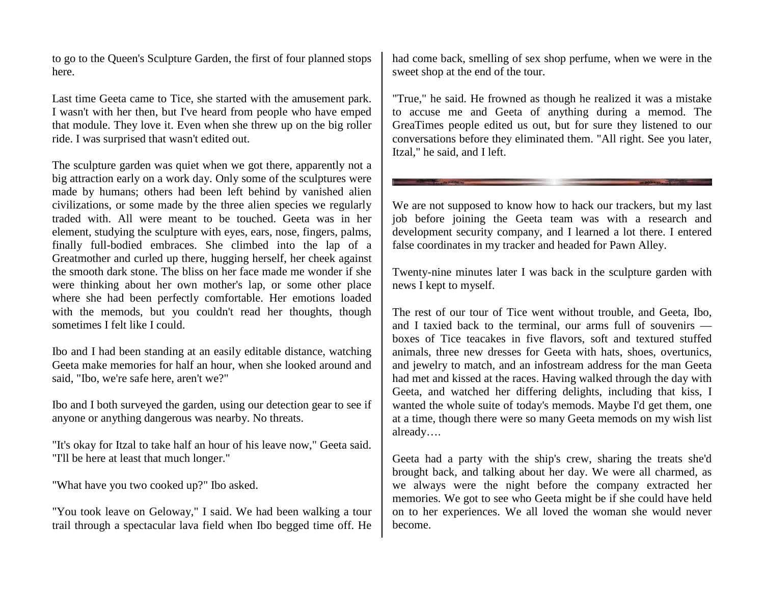to go to the Queen's Sculpture Garden, the first of four planned stops here.

Last time Geeta came to Tice, she started with the amusement park. I wasn't with her then, but I've heard from people who have emped that module. They love it. Even when she threw up on the big roller ride. I was surprised that wasn't edited out.

The sculpture garden was quiet when we got there, apparently not a big attraction early on a work day. Only some of the sculptures were made by humans; others had been left behind by vanished alien civilizations, or some made by the three alien species we regularly traded with. All were meant to be touched. Geeta was in her element, studying the sculpture with eyes, ears, nose, fingers, palms, finally full-bodied embraces. She climbed into the lap of a Greatmother and curled up there, hugging herself, her cheek against the smooth dark stone. The bliss on her face made me wonder if she were thinking about her own mother's lap, or some other place where she had been perfectly comfortable. Her emotions loaded with the memods, but you couldn't read her thoughts, though sometimes I felt like I could.

Ibo and I had been standing at an easily editable distance, watching Geeta make memories for half an hour, when she looked around and said, "Ibo, we're safe here, aren't we?"

Ibo and I both surveyed the garden, using our detection gear to see if anyone or anything dangerous was nearby. No threats.

"It's okay for Itzal to take half an hour of his leave now," Geeta said. "I'll be here at least that much longer."

"What have you two cooked up?" Ibo asked.

"You took leave on Geloway," I said. We had been walking a tour trail through a spectacular lava field when Ibo begged time off. He had come back, smelling of sex shop perfume, when we were in the sweet shop at the end of the tour.

"True," he said. He frowned as though he realized it was a mistake to accuse me and Geeta of anything during a memod. The GreaTimes people edited us out, but for sure they listened to our conversations before they eliminated them. "All right. See you later, Itzal," he said, and I left.

We are not supposed to know how to hack our trackers, but my last job before joining the Geeta team was with a research and development security company, and I learned a lot there. I entered false coordinates in my tracker and headed for Pawn Alley.

Twenty-nine minutes later I was back in the sculpture garden with news I kept to myself.

The rest of our tour of Tice went without trouble, and Geeta, Ibo, and I taxied back to the terminal, our arms full of souvenirs boxes of Tice teacakes in five flavors, soft and textured stuffed animals, three new dresses for Geeta with hats, shoes, overtunics, and jewelry to match, and an infostream address for the man Geeta had met and kissed at the races. Having walked through the day with Geeta, and watched her differing delights, including that kiss, I wanted the whole suite of today's memods. Maybe I'd get them, one at a time, though there were so many Geeta memods on my wish list already….

Geeta had a party with the ship's crew, sharing the treats she'd brought back, and talking about her day. We were all charmed, as we always were the night before the company extracted her memories. We got to see who Geeta might be if she could have held on to her experiences. We all loved the woman she would never become.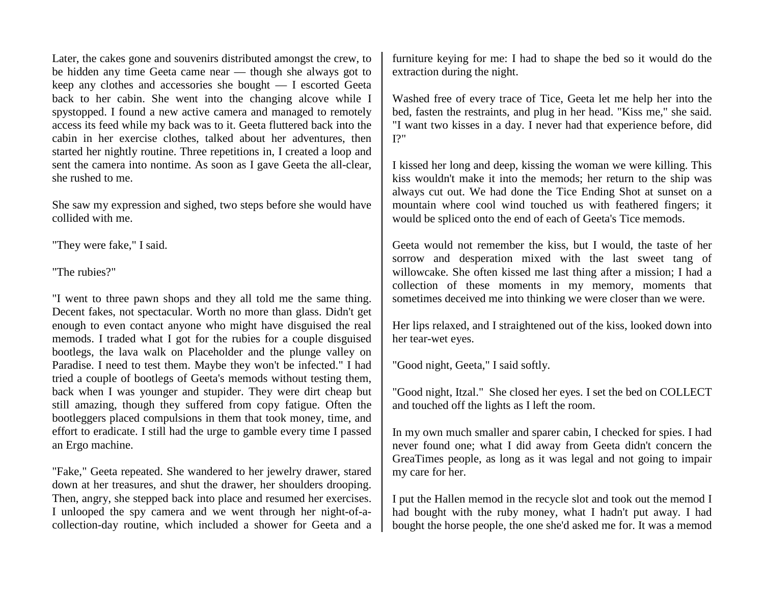Later, the cakes gone and souvenirs distributed amongst the crew, to be hidden any time Geeta came near — though she always got to keep any clothes and accessories she bought — I escorted Geeta back to her cabin. She went into the changing alcove while I spystopped. I found a new active camera and managed to remotely access its feed while my back was to it. Geeta fluttered back into the cabin in her exercise clothes, talked about her adventures, then started her nightly routine. Three repetitions in, I created a loop and sent the camera into nontime. As soon as I gave Geeta the all-clear, she rushed to me.

She saw my expression and sighed, two steps before she would have collided with me.

"They were fake," I said.

"The rubies?"

"I went to three pawn shops and they all told me the same thing. Decent fakes, not spectacular. Worth no more than glass. Didn't get enough to even contact anyone who might have disguised the real memods. I traded what I got for the rubies for a couple disguised bootlegs, the lava walk on Placeholder and the plunge valley on Paradise. I need to test them. Maybe they won't be infected." I had tried a couple of bootlegs of Geeta's memods without testing them, back when I was younger and stupider. They were dirt cheap but still amazing, though they suffered from copy fatigue. Often the bootleggers placed compulsions in them that took money, time, and effort to eradicate. I still had the urge to gamble every time I passed an Ergo machine.

"Fake," Geeta repeated. She wandered to her jewelry drawer, stared down at her treasures, and shut the drawer, her shoulders drooping. Then, angry, she stepped back into place and resumed her exercises. I unlooped the spy camera and we went through her night-of-acollection-day routine, which included a shower for Geeta and a furniture keying for me: I had to shape the bed so it would do the extraction during the night.

Washed free of every trace of Tice, Geeta let me help her into the bed, fasten the restraints, and plug in her head. "Kiss me," she said. "I want two kisses in a day. I never had that experience before, did I?"

I kissed her long and deep, kissing the woman we were killing. This kiss wouldn't make it into the memods; her return to the ship was always cut out. We had done the Tice Ending Shot at sunset on a mountain where cool wind touched us with feathered fingers; it would be spliced onto the end of each of Geeta's Tice memods.

Geeta would not remember the kiss, but I would, the taste of her sorrow and desperation mixed with the last sweet tang of willowcake. She often kissed me last thing after a mission; I had a collection of these moments in my memory, moments that sometimes deceived me into thinking we were closer than we were.

Her lips relaxed, and I straightened out of the kiss, looked down into her tear-wet eyes.

"Good night, Geeta," I said softly.

"Good night, Itzal." She closed her eyes. I set the bed on COLLECT and touched off the lights as I left the room.

In my own much smaller and sparer cabin, I checked for spies. I had never found one; what I did away from Geeta didn't concern the GreaTimes people, as long as it was legal and not going to impair my care for her.

I put the Hallen memod in the recycle slot and took out the memod I had bought with the ruby money, what I hadn't put away. I had bought the horse people, the one she'd asked me for. It was a memod